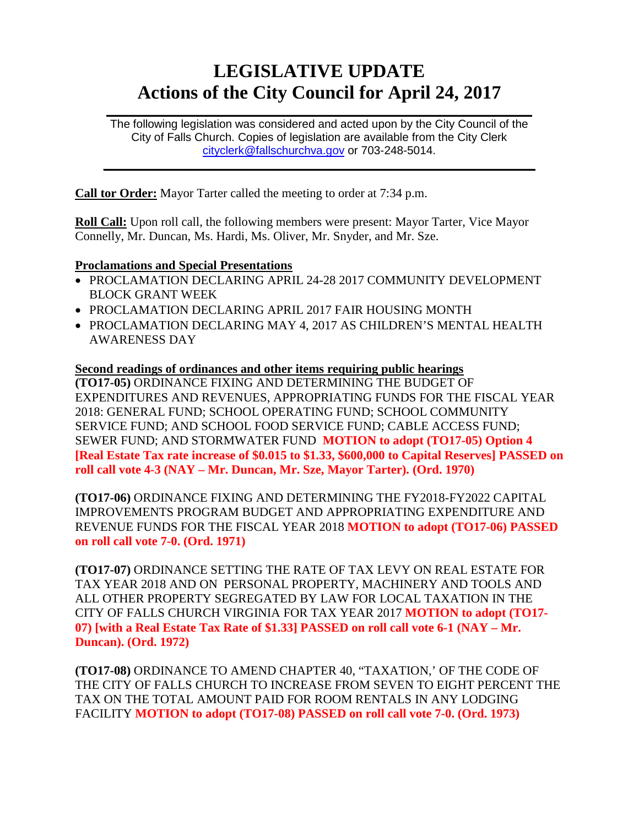# **LEGISLATIVE UPDATE Actions of the City Council for April 24, 2017**

The following legislation was considered and acted upon by the City Council of the City of Falls Church. Copies of legislation are available from the City Clerk [cityclerk@fallschurchva.gov](mailto:cityclerk@fallschurchva.gov) or 703-248-5014.

 $\frac{1}{2}$  ,  $\frac{1}{2}$  ,  $\frac{1}{2}$  ,  $\frac{1}{2}$  ,  $\frac{1}{2}$  ,  $\frac{1}{2}$  ,  $\frac{1}{2}$  ,  $\frac{1}{2}$  ,  $\frac{1}{2}$  ,  $\frac{1}{2}$  ,  $\frac{1}{2}$  ,  $\frac{1}{2}$  ,  $\frac{1}{2}$  ,  $\frac{1}{2}$  ,  $\frac{1}{2}$  ,  $\frac{1}{2}$  ,  $\frac{1}{2}$  ,  $\frac{1}{2}$  ,  $\frac{1$ 

 $\frac{1}{2}$  ,  $\frac{1}{2}$  ,  $\frac{1}{2}$  ,  $\frac{1}{2}$  ,  $\frac{1}{2}$  ,  $\frac{1}{2}$  ,  $\frac{1}{2}$  ,  $\frac{1}{2}$  ,  $\frac{1}{2}$  ,  $\frac{1}{2}$  ,  $\frac{1}{2}$  ,  $\frac{1}{2}$  ,  $\frac{1}{2}$  ,  $\frac{1}{2}$  ,  $\frac{1}{2}$  ,  $\frac{1}{2}$  ,  $\frac{1}{2}$  ,  $\frac{1}{2}$  ,  $\frac{1$ 

**Call tor Order:** Mayor Tarter called the meeting to order at 7:34 p.m.

**Roll Call:** Upon roll call, the following members were present: Mayor Tarter, Vice Mayor Connelly, Mr. Duncan, Ms. Hardi, Ms. Oliver, Mr. Snyder, and Mr. Sze.

## **Proclamations and Special Presentations**

- PROCLAMATION DECLARING APRIL 24-28 2017 COMMUNITY DEVELOPMENT BLOCK GRANT WEEK
- PROCLAMATION DECLARING APRIL 2017 FAIR HOUSING MONTH
- PROCLAMATION DECLARING MAY 4, 2017 AS CHILDREN'S MENTAL HEALTH AWARENESS DAY

## **Second readings of ordinances and other items requiring public hearings (TO17-05)** ORDINANCE FIXING AND DETERMINING THE BUDGET OF EXPENDITURES AND REVENUES, APPROPRIATING FUNDS FOR THE FISCAL YEAR 2018: GENERAL FUND; SCHOOL OPERATING FUND; SCHOOL COMMUNITY SERVICE FUND; AND SCHOOL FOOD SERVICE FUND; CABLE ACCESS FUND; SEWER FUND; AND STORMWATER FUND **MOTION to adopt (TO17-05) Option 4 [Real Estate Tax rate increase of \$0.015 to \$1.33, \$600,000 to Capital Reserves] PASSED on roll call vote 4-3 (NAY – Mr. Duncan, Mr. Sze, Mayor Tarter). (Ord. 1970)**

**(TO17-06)** ORDINANCE FIXING AND DETERMINING THE FY2018-FY2022 CAPITAL IMPROVEMENTS PROGRAM BUDGET AND APPROPRIATING EXPENDITURE AND REVENUE FUNDS FOR THE FISCAL YEAR 2018 **MOTION to adopt (TO17-06) PASSED on roll call vote 7-0. (Ord. 1971)**

**(TO17-07)** ORDINANCE SETTING THE RATE OF TAX LEVY ON REAL ESTATE FOR TAX YEAR 2018 AND ON PERSONAL PROPERTY, MACHINERY AND TOOLS AND ALL OTHER PROPERTY SEGREGATED BY LAW FOR LOCAL TAXATION IN THE CITY OF FALLS CHURCH VIRGINIA FOR TAX YEAR 2017 **MOTION to adopt (TO17- 07) [with a Real Estate Tax Rate of \$1.33] PASSED on roll call vote 6-1 (NAY – Mr. Duncan). (Ord. 1972)**

**(TO17-08)** ORDINANCE TO AMEND CHAPTER 40, "TAXATION,' OF THE CODE OF THE CITY OF FALLS CHURCH TO INCREASE FROM SEVEN TO EIGHT PERCENT THE TAX ON THE TOTAL AMOUNT PAID FOR ROOM RENTALS IN ANY LODGING FACILITY **MOTION to adopt (TO17-08) PASSED on roll call vote 7-0. (Ord. 1973)**